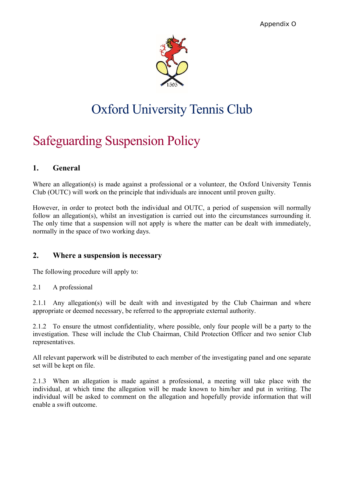

# Oxford University Tennis Club

# Safeguarding Suspension Policy

### **1. General**

Where an allegation(s) is made against a professional or a volunteer, the Oxford University Tennis Club (OUTC) will work on the principle that individuals are innocent until proven guilty.

However, in order to protect both the individual and OUTC, a period of suspension will normally follow an allegation(s), whilst an investigation is carried out into the circumstances surrounding it. The only time that a suspension will not apply is where the matter can be dealt with immediately, normally in the space of two working days.

### **2. Where a suspension is necessary**

The following procedure will apply to:

#### 2.1 A professional

2.1.1 Any allegation(s) will be dealt with and investigated by the Club Chairman and where appropriate or deemed necessary, be referred to the appropriate external authority.

2.1.2 To ensure the utmost confidentiality, where possible, only four people will be a party to the investigation. These will include the Club Chairman, Child Protection Officer and two senior Club representatives.

All relevant paperwork will be distributed to each member of the investigating panel and one separate set will be kept on file.

2.1.3 When an allegation is made against a professional, a meeting will take place with the individual, at which time the allegation will be made known to him/her and put in writing. The individual will be asked to comment on the allegation and hopefully provide information that will enable a swift outcome.